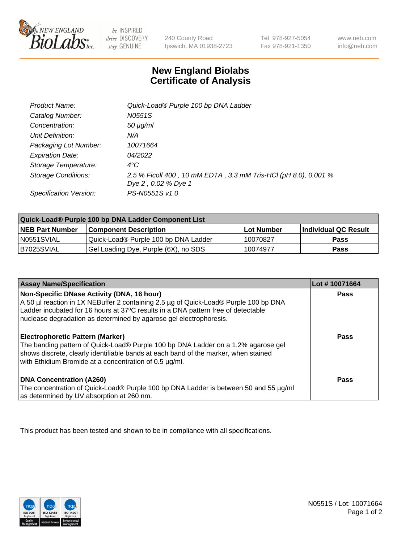

be INSPIRED drive DISCOVERY stay GENUINE

240 County Road Ipswich, MA 01938-2723 Tel 978-927-5054 Fax 978-921-1350

www.neb.com info@neb.com

## **New England Biolabs Certificate of Analysis**

| Product Name:           | Quick-Load® Purple 100 bp DNA Ladder                            |
|-------------------------|-----------------------------------------------------------------|
| Catalog Number:         | N0551S                                                          |
| Concentration:          | $50 \mu g/ml$                                                   |
| Unit Definition:        | N/A                                                             |
| Packaging Lot Number:   | 10071664                                                        |
| <b>Expiration Date:</b> | 04/2022                                                         |
| Storage Temperature:    | $4^{\circ}$ C                                                   |
| Storage Conditions:     | 2.5 % Ficoll 400, 10 mM EDTA, 3.3 mM Tris-HCl (pH 8.0), 0.001 % |
|                         | Dye 2, 0.02 % Dye 1                                             |
| Specification Version:  | PS-N0551S v1.0                                                  |

| Quick-Load® Purple 100 bp DNA Ladder Component List |                                      |              |                             |  |
|-----------------------------------------------------|--------------------------------------|--------------|-----------------------------|--|
| <b>NEB Part Number</b>                              | <b>Component Description</b>         | l Lot Number | <b>Individual QC Result</b> |  |
| N0551SVIAL                                          | Quick-Load® Purple 100 bp DNA Ladder | 10070827     | <b>Pass</b>                 |  |
| I B7025SVIAL                                        | Gel Loading Dye, Purple (6X), no SDS | 10074977     | Pass                        |  |

| <b>Assay Name/Specification</b>                                                                                                                                                                                                                                                               | Lot #10071664 |
|-----------------------------------------------------------------------------------------------------------------------------------------------------------------------------------------------------------------------------------------------------------------------------------------------|---------------|
| Non-Specific DNase Activity (DNA, 16 hour)<br>A 50 µl reaction in 1X NEBuffer 2 containing 2.5 µg of Quick-Load® Purple 100 bp DNA<br>Ladder incubated for 16 hours at 37°C results in a DNA pattern free of detectable<br>nuclease degradation as determined by agarose gel electrophoresis. | <b>Pass</b>   |
| <b>Electrophoretic Pattern (Marker)</b><br>The banding pattern of Quick-Load® Purple 100 bp DNA Ladder on a 1.2% agarose gel<br>shows discrete, clearly identifiable bands at each band of the marker, when stained<br>with Ethidium Bromide at a concentration of 0.5 µg/ml.                 | <b>Pass</b>   |
| <b>DNA Concentration (A260)</b><br>The concentration of Quick-Load® Purple 100 bp DNA Ladder is between 50 and 55 µg/ml<br>as determined by UV absorption at 260 nm.                                                                                                                          | <b>Pass</b>   |

This product has been tested and shown to be in compliance with all specifications.